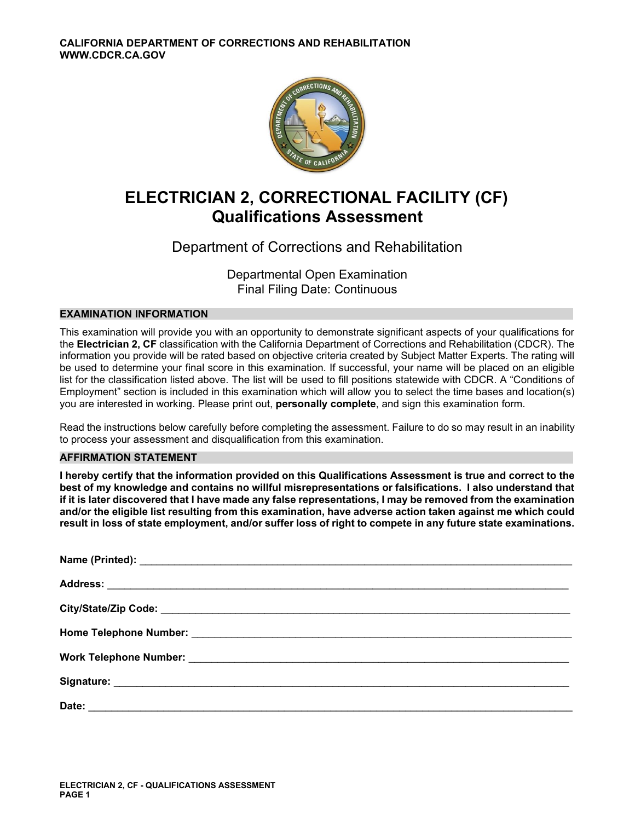

## **ELECTRICIAN 2, CORRECTIONAL FACILITY (CF) Qualifications Assessment**

## Department of Corrections and Rehabilitation

Departmental Open Examination Final Filing Date: Continuous

### **EXAMINATION INFORMATION**

This examination will provide you with an opportunity to demonstrate significant aspects of your qualifications for the **Electrician 2, CF** classification with the California Department of Corrections and Rehabilitation (CDCR). The information you provide will be rated based on objective criteria created by Subject Matter Experts. The rating will be used to determine your final score in this examination. If successful, your name will be placed on an eligible list for the classification listed above. The list will be used to fill positions statewide with CDCR. A "Conditions of Employment" section is included in this examination which will allow you to select the time bases and location(s) you are interested in working. Please print out, **personally complete**, and sign this examination form.

Read the instructions below carefully before completing the assessment. Failure to do so may result in an inability to process your assessment and disqualification from this examination.

### **AFFIRMATION STATEMENT**

**I hereby certify that the information provided on this Qualifications Assessment is true and correct to the best of my knowledge and contains no willful misrepresentations or falsifications. I also understand that if it is later discovered that I have made any false representations, I may be removed from the examination and/or the eligible list resulting from this examination, have adverse action taken against me which could result in loss of state employment, and/or suffer loss of right to compete in any future state examinations.**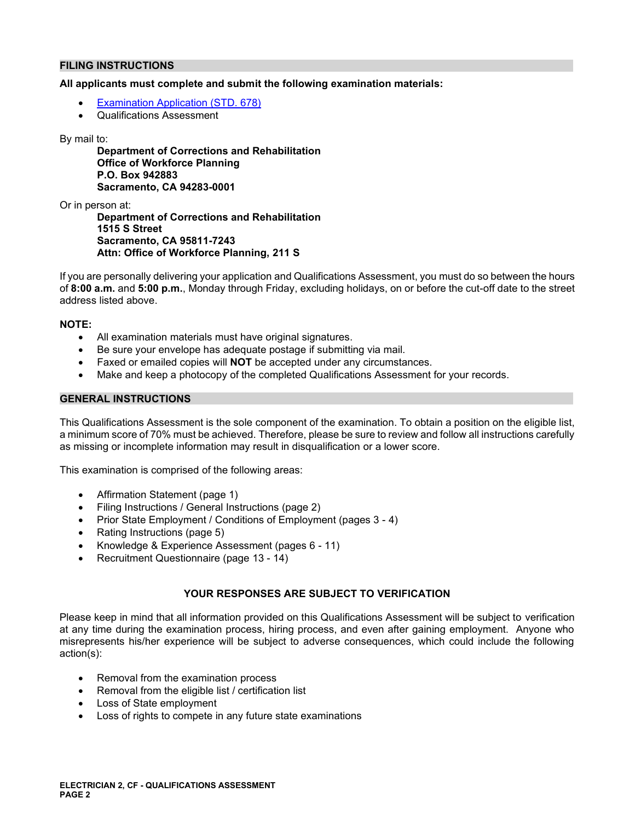### **FILING INSTRUCTIONS**

### **All applicants must complete and submit the following examination materials:**

- [Examination Application \(STD. 678\)](https://jobs.ca.gov/pdf/STD678.pdf)
- Qualifications Assessment

### By mail to:

**Department of Corrections and Rehabilitation Office of Workforce Planning P.O. Box 942883 Sacramento, CA 94283-0001** 

Or in person at:

**Department of Corrections and Rehabilitation 1515 S Street Sacramento, CA 95811-7243 Attn: Office of Workforce Planning, 211 S** 

If you are personally delivering your application and Qualifications Assessment, you must do so between the hours of **8:00 a.m.** and **5:00 p.m.**, Monday through Friday, excluding holidays, on or before the cut-off date to the street address listed above.

### **NOTE:**

- All examination materials must have original signatures.
- Be sure your envelope has adequate postage if submitting via mail.
- Faxed or emailed copies will **NOT** be accepted under any circumstances.
- Make and keep a photocopy of the completed Qualifications Assessment for your records.

### **GENERAL INSTRUCTIONS**

This Qualifications Assessment is the sole component of the examination. To obtain a position on the eligible list, a minimum score of 70% must be achieved. Therefore, please be sure to review and follow all instructions carefully as missing or incomplete information may result in disqualification or a lower score.

This examination is comprised of the following areas:

- Affirmation Statement (page 1)
- Filing Instructions / General Instructions (page 2)
- Prior State Employment / Conditions of Employment (pages 3 4)
- Rating Instructions (page 5)
- Knowledge & Experience Assessment (pages 6 11)
- Recruitment Questionnaire (page 13 14)

### **YOUR RESPONSES ARE SUBJECT TO VERIFICATION**

Please keep in mind that all information provided on this Qualifications Assessment will be subject to verification at any time during the examination process, hiring process, and even after gaining employment. Anyone who misrepresents his/her experience will be subject to adverse consequences, which could include the following action(s):

- Removal from the examination process
- Removal from the eligible list / certification list
- Loss of State employment
- Loss of rights to compete in any future state examinations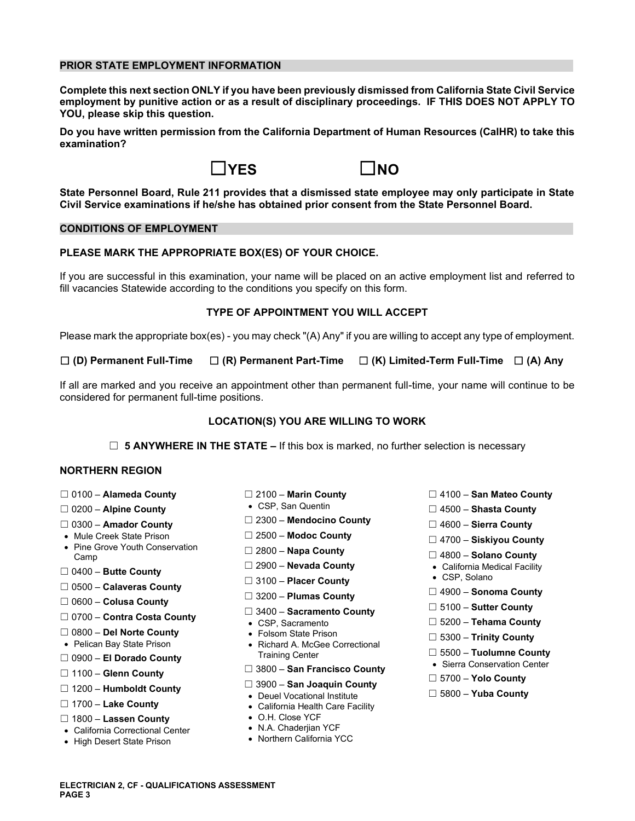### **PRIOR STATE EMPLOYMENT INFORMATION**

**Complete this next section ONLY if you have been previously dismissed from California State Civil Service employment by punitive action or as a result of disciplinary proceedings. IF THIS DOES NOT APPLY TO YOU, please skip this question.** 

**Do you have written permission from the California Department of Human Resources (CalHR) to take this examination?** 





**State Personnel Board, Rule 211 provides that a dismissed state employee may only participate in State Civil Service examinations if he/she has obtained prior consent from the State Personnel Board.** 

### **CONDITIONS OF EMPLOYMENT**

### **PLEASE MARK THE APPROPRIATE BOX(ES) OF YOUR CHOICE.**

If you are successful in this examination, your name will be placed on an active employment list and referred to fill vacancies Statewide according to the conditions you specify on this form.

### **TYPE OF APPOINTMENT YOU WILL ACCEPT**

Please mark the appropriate box(es) - you may check "(A) Any" if you are willing to accept any type of employment.

☐ **(D) Permanent Full-Time** ☐ **(R) Permanent Part-Time** ☐ **(K) Limited-Term Full-Time** ☐ **(A) Any** 

If all are marked and you receive an appointment other than permanent full-time, your name will continue to be considered for permanent full-time positions.

### **LOCATION(S) YOU ARE WILLING TO WORK**

☐ **5 ANYWHERE IN THE STATE –** If this box is marked, no further selection is necessary

### **NORTHERN REGION**

- 
- 
- 
- 
- Mule Creek State Prison ☐ 2500 **Modoc County** ☐ 4700 **Siskiyou County**  Pine Grove Youth Conservation ☐ 2800 **Napa County** Camp ☐ 4800 **Solano County**
- 
- ☐ 0500 **Calaveras County**
- 
- ☐ 0700 **Contra Costa County**  CSP, Sacramento ☐ 5200 **Tehama County**
- 
- 
- 
- 
- ☐ ☐ 3900 **San Joaquin County** 1200 **Humboldt County**  Deuel Vocational Institute ☐ 5800 **Yuba County**
- 
- ☐ 1800 **Lassen County**  O.H. Close YCF
- California Correctional Center N.A. Chaderjian YCF
- High Desert State Prison
- 
- 
- ☐ 2300 **Mendocino County** 0300 **Amador County** ☐ ☐ 4600 **Sierra County** 
	-
	-
	-
	- □ 3100 **Placer County**
	-
	- ☐ 5100 **Sutter County** 3400 **Sacramento County** ☐
	-
	-
- ☐ 0800 **Del Norte County**  Folsom State Prison ☐ 5300 **Trinity County**  Pelican Bay State Prison Richard A. McGee Correctional Training Center ☐ 5500 – **Tuolumne County** ☐ 0900 – **El Dorado County** • Sierra Conservation Center
	-
- ☐ ☐ 3800 **San Francisco County** 1100 **Glenn County** ☐ 5700 **Yolo County** 
	-
	- California Health Care Facility
	-
	-
	-
- ☐ 0100 **Alameda County** ☐ 2100 **Marin County** ☐ 4100 **San Mateo County**
- ☐ CSP, San Quentin 0200 **Alpine County**  ☐ 4500 **Shasta County** 
	-
	-
	-
- ☐ 2900 **Nevada County**  California Medical Facility ☐ 0400 **Butte County** 
	-
- ☐ ☐ 4900 **Sonoma County** 3200 **Plumas County** ☐ 0600 **Colusa County** 
	-
	-
	-
	-
	-
	-
	-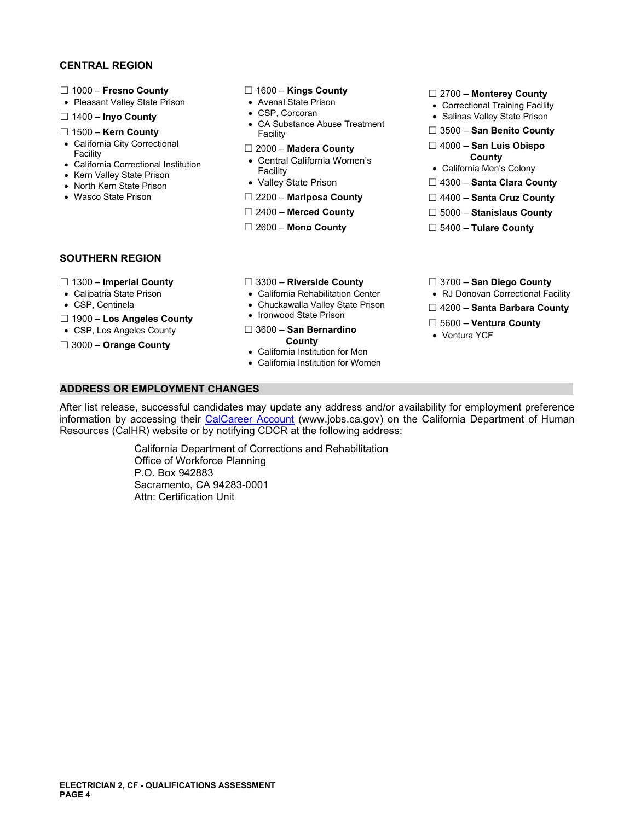### **CENTRAL REGION**

- 
- 
- 
- 
- 
- 
- 
- 
- 

- 
- 
- □ 1400 **Inyo County CSP**, Corcoran CSP, Corcoran Salinas Valley State Prison CA Substance Abuse Treatment Salinas Valley State Prison CA Substance Abuse Treatment △ 3500 **San Benito Count** ☐ 1500 – **Kern County** Facility ☐ 3500 – **San Benito County** 
	-
- California Correctional Institution Central California Women's California Men's Colony<br>• Kern Valley State Prison California Men's Colony Colony<br>• North Kern State Prison Valley State Prison
	-
	-
	-
	-

- ☐ 1000 **Fresno County** ☐ 1600 **Kings County** ☐ 2700 **Monterey County**  Pleasant Valley State Prison Avenal State Prison Correctional Training Facility
	-
	-
- California City Correctional ☐ 2000 **Madera County** ☐ 4000 **San Luis Obispo** Facility Central California Women's **County**  California Correctional Institution
	-
- North Kern State Prison Valley State Prison Delta North Kern State Prison **in State State Accounty** Valley State Prison
- Wasco State Prison ☐ 2200 **Mariposa County** ☐ 4400 **Santa Cruz County** 
	- ☐ 2400 **Merced County** ☐ 5000 **Stanislaus County**
	- ☐ 2600 **Mono County** ☐ 5400 **Tulare County**

### **SOUTHERN REGION**

- 
- 
- 
- ☐ 1900 **Los Angeles County**  Ironwood State Prison
- 
- □ 3000 Orange County **County**
- ☐ 1300 **Imperial County** ☐ 3300 **Riverside County** ☐ 3700 **San Diego County**
- Calipatria State Prison California Rehabilitation Center RJ Donovan Correctional Facility
	-
	-
- ☐ 5600 **Ventura County**  CSP, Los Angeles County ☐ 3600 **San Bernardino**

• California Institution for Men • California Institution for Women

- 
- 
- CSP, Centinela Chuckawalla Valley State Prison ☐ 4200 **Santa Barbara County** 
	-
	-

### **ADDRESS OR EMPLOYMENT CHANGES**

After list release, successful candidates may update any address and/or availability for employment preference information by accessing their [CalCareer Account](https://www.jobs.ca.gov/) (www.jobs.ca.gov) on the California Department of Human Resources (CalHR) website or by notifying CDCR at the following address:

> California Department of Corrections and Rehabilitation Office of Workforce Planning P.O. Box 942883 Sacramento, CA 94283-0001 Attn: Certification Unit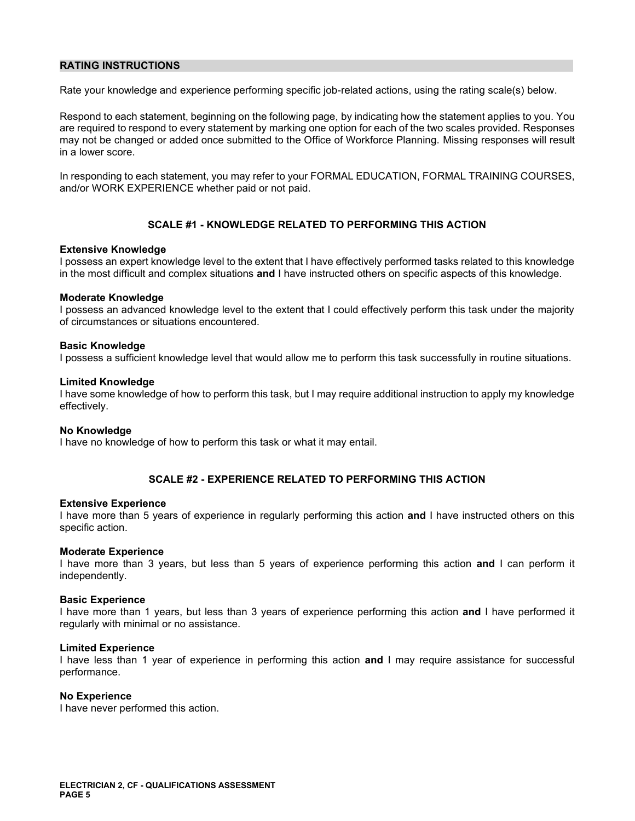### **RATING INSTRUCTIONS**

Rate your knowledge and experience performing specific job-related actions, using the rating scale(s) below.

Respond to each statement, beginning on the following page, by indicating how the statement applies to you. You are required to respond to every statement by marking one option for each of the two scales provided. Responses may not be changed or added once submitted to the Office of Workforce Planning. Missing responses will result in a lower score.

In responding to each statement, you may refer to your FORMAL EDUCATION, FORMAL TRAINING COURSES, and/or WORK EXPERIENCE whether paid or not paid.

### **SCALE #1 - KNOWLEDGE RELATED TO PERFORMING THIS ACTION**

### **Extensive Knowledge**

I possess an expert knowledge level to the extent that I have effectively performed tasks related to this knowledge in the most difficult and complex situations **and** I have instructed others on specific aspects of this knowledge.

### **Moderate Knowledge**

I possess an advanced knowledge level to the extent that I could effectively perform this task under the majority of circumstances or situations encountered.

### **Basic Knowledge**

I possess a sufficient knowledge level that would allow me to perform this task successfully in routine situations.

### **Limited Knowledge**

I have some knowledge of how to perform this task, but I may require additional instruction to apply my knowledge effectively.

### **No Knowledge**

I have no knowledge of how to perform this task or what it may entail.

### **SCALE #2 - EXPERIENCE RELATED TO PERFORMING THIS ACTION**

### **Extensive Experience**

I have more than 5 years of experience in regularly performing this action **and** I have instructed others on this specific action.

### **Moderate Experience**

I have more than 3 years, but less than 5 years of experience performing this action **and** I can perform it independently.

### **Basic Experience**

I have more than 1 years, but less than 3 years of experience performing this action **and** I have performed it regularly with minimal or no assistance.

### **Limited Experience**

I have less than 1 year of experience in performing this action **and** I may require assistance for successful performance.

### **No Experience**

I have never performed this action.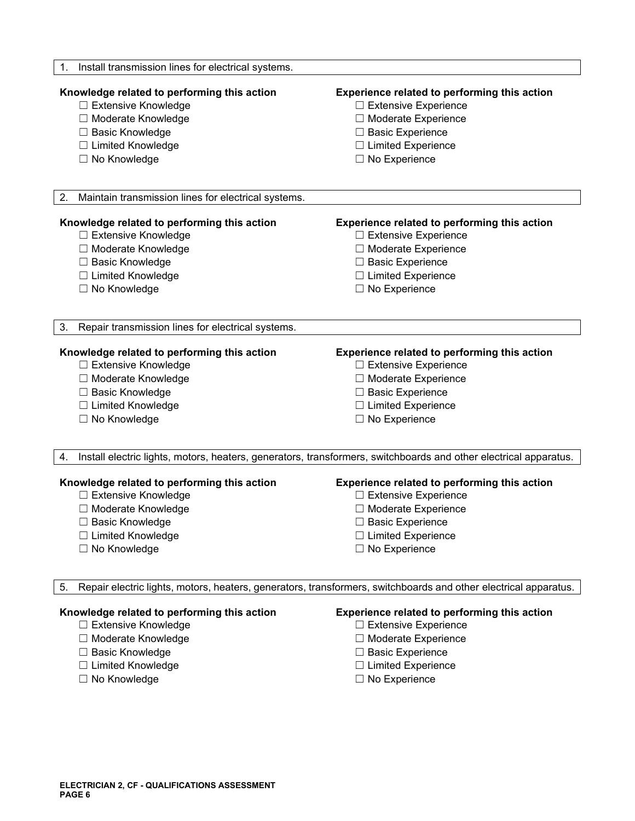| 1. | Install transmission lines for electrical systems.                                                                                                              |                                                                                                                                                                                             |  |
|----|-----------------------------------------------------------------------------------------------------------------------------------------------------------------|---------------------------------------------------------------------------------------------------------------------------------------------------------------------------------------------|--|
|    | Knowledge related to performing this action<br>□ Extensive Knowledge<br>□ Moderate Knowledge<br>□ Basic Knowledge<br>□ Limited Knowledge<br>□ No Knowledge      | <b>Experience related to performing this action</b><br>$\Box$ Extensive Experience<br>□ Moderate Experience<br>□ Basic Experience<br>$\Box$ Limited Experience<br>$\Box$ No Experience      |  |
| 2. | Maintain transmission lines for electrical systems.                                                                                                             |                                                                                                                                                                                             |  |
|    | Knowledge related to performing this action<br>□ Extensive Knowledge<br>□ Moderate Knowledge<br>□ Basic Knowledge<br>□ Limited Knowledge<br>$\Box$ No Knowledge | Experience related to performing this action<br>$\Box$ Extensive Experience<br>□ Moderate Experience<br>$\Box$ Basic Experience<br>$\Box$ Limited Experience<br>$\Box$ No Experience        |  |
| 3. | Repair transmission lines for electrical systems.                                                                                                               |                                                                                                                                                                                             |  |
|    | Knowledge related to performing this action<br>□ Extensive Knowledge<br>□ Moderate Knowledge<br>□ Basic Knowledge<br>□ Limited Knowledge<br>$\Box$ No Knowledge | <b>Experience related to performing this action</b><br>$\Box$ Extensive Experience<br>□ Moderate Experience<br>$\Box$ Basic Experience<br>$\Box$ Limited Experience<br>$\Box$ No Experience |  |
| 4. | Install electric lights, motors, heaters, generators, transformers, switchboards and other electrical apparatus.                                                |                                                                                                                                                                                             |  |
|    | Knowledge related to performing this action<br>□ Extensive Knowledge<br>□ Moderate Knowledge<br>Basic Knowledge<br>$\Box$ Limited Knowledge<br>□ No Knowledge   | Experience related to performing this action<br>$\Box$ Extensive Experience<br>□ Moderate Experience<br>$\Box$ Basic Experience<br>$\Box$ Limited Experience<br>$\Box$ No Experience        |  |
| 5. | Repair electric lights, motors, heaters, generators, transformers, switchboards and other electrical apparatus.                                                 |                                                                                                                                                                                             |  |
|    | Knowledge related to performing this action<br>$\Box$ Extensive Knowledge<br>□ Moderate Knowledge<br><b>Basic Knowledge</b>                                     | Experience related to performing this action<br>$\Box$ Extensive Experience<br>$\Box$ Moderate Experience<br>$\Box$ Basic Experience                                                        |  |

- □ David Experience<br>
□ Limited Knowledge □ Limited Experience<br>
□ No Knowledge □ No Experience
- 
- 
- 
- □ No Experience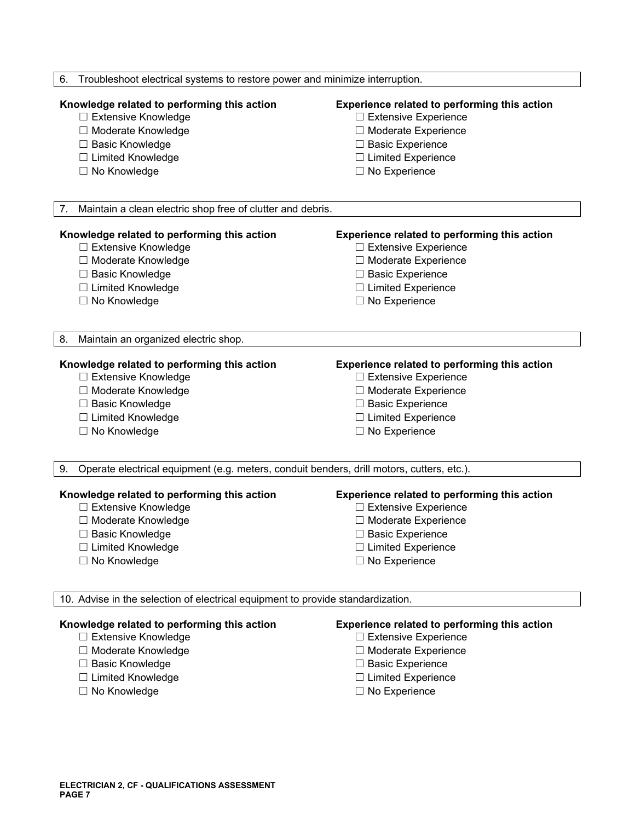| Troubleshoot electrical systems to restore power and minimize interruption.<br>6.               |                                              |  |
|-------------------------------------------------------------------------------------------------|----------------------------------------------|--|
| Knowledge related to performing this action                                                     | Experience related to performing this action |  |
| □ Extensive Knowledge                                                                           | □ Extensive Experience                       |  |
| □ Moderate Knowledge                                                                            | □ Moderate Experience                        |  |
| □ Basic Knowledge                                                                               | $\Box$ Basic Experience                      |  |
| □ Limited Knowledge                                                                             | □ Limited Experience                         |  |
| □ No Knowledge                                                                                  | $\Box$ No Experience                         |  |
| Maintain a clean electric shop free of clutter and debris.<br>7.                                |                                              |  |
| Knowledge related to performing this action                                                     | Experience related to performing this action |  |
| □ Extensive Knowledge                                                                           | $\Box$ Extensive Experience                  |  |
| □ Moderate Knowledge                                                                            | □ Moderate Experience                        |  |
| $\Box$ Basic Knowledge                                                                          | □ Basic Experience                           |  |
| □ Limited Knowledge                                                                             | □ Limited Experience                         |  |
| □ No Knowledge                                                                                  | $\Box$ No Experience                         |  |
| Maintain an organized electric shop.<br>8.                                                      |                                              |  |
| Knowledge related to performing this action                                                     | Experience related to performing this action |  |
| □ Extensive Knowledge                                                                           | $\Box$ Extensive Experience                  |  |
| □ Moderate Knowledge                                                                            | □ Moderate Experience                        |  |
| □ Basic Knowledge                                                                               | □ Basic Experience                           |  |
| □ Limited Knowledge                                                                             | □ Limited Experience                         |  |
| □ No Knowledge                                                                                  | $\Box$ No Experience                         |  |
| Operate electrical equipment (e.g. meters, conduit benders, drill motors, cutters, etc.).<br>9. |                                              |  |
| Knowledge related to performing this action                                                     | Experience related to performing this action |  |
| □ Extensive Knowledge                                                                           | $\Box$ Extensive Experience                  |  |
| □ Moderate Knowledge                                                                            | □ Moderate Experience                        |  |
| $\Box$ Basic Knowledge                                                                          | $\Box$ Basic Experience                      |  |
| □ Limited Knowledge                                                                             | $\Box$ Limited Experience                    |  |
| $\Box$ No Knowledge                                                                             | $\Box$ No Experience                         |  |
| 10. Advise in the selection of electrical equipment to provide standardization.                 |                                              |  |
| Knowledge related to performing this action                                                     | Experience related to performing this action |  |
| □ Extensive Knowledge                                                                           | $\Box$ Extensive Experience                  |  |
| □ Moderate Knowledge                                                                            | □ Moderate Experience                        |  |
| □ Basic Knowledge                                                                               | $\Box$ Basic Experience                      |  |
| □ Limited Knowledge                                                                             | $\Box$ Limited Experience                    |  |
| □ No Knowledge                                                                                  | $\Box$ No Experience                         |  |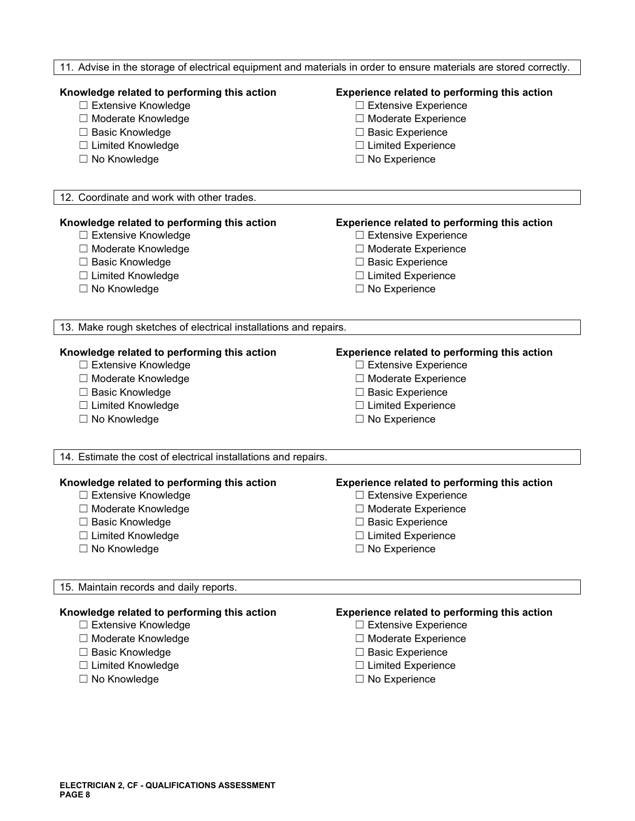| 11. Advise in the storage of electrical equipment and materials in order to ensure materials are stored correctly. |                                                     |  |  |
|--------------------------------------------------------------------------------------------------------------------|-----------------------------------------------------|--|--|
| Knowledge related to performing this action                                                                        | Experience related to performing this action        |  |  |
| □ Extensive Knowledge                                                                                              | $\Box$ Extensive Experience                         |  |  |
| □ Moderate Knowledge                                                                                               | □ Moderate Experience                               |  |  |
| □ Basic Knowledge                                                                                                  | □ Basic Experience                                  |  |  |
| □ Limited Knowledge                                                                                                | $\Box$ Limited Experience                           |  |  |
| □ No Knowledge                                                                                                     | $\Box$ No Experience                                |  |  |
| 12. Coordinate and work with other trades.                                                                         |                                                     |  |  |
| Knowledge related to performing this action                                                                        | <b>Experience related to performing this action</b> |  |  |
| □ Extensive Knowledge                                                                                              | $\Box$ Extensive Experience                         |  |  |
| □ Moderate Knowledge                                                                                               | □ Moderate Experience                               |  |  |
| □ Basic Knowledge                                                                                                  | □ Basic Experience                                  |  |  |
| □ Limited Knowledge                                                                                                | $\Box$ Limited Experience                           |  |  |
| □ No Knowledge                                                                                                     | $\Box$ No Experience                                |  |  |
| 13. Make rough sketches of electrical installations and repairs.                                                   |                                                     |  |  |
| Knowledge related to performing this action                                                                        | Experience related to performing this action        |  |  |
| □ Extensive Knowledge                                                                                              | $\Box$ Extensive Experience                         |  |  |
| □ Moderate Knowledge                                                                                               | □ Moderate Experience                               |  |  |
| □ Basic Knowledge                                                                                                  | $\Box$ Basic Experience                             |  |  |
| □ Limited Knowledge                                                                                                | $\Box$ Limited Experience                           |  |  |
| □ No Knowledge                                                                                                     | $\Box$ No Experience                                |  |  |
| 14. Estimate the cost of electrical installations and repairs.                                                     |                                                     |  |  |
| Knowledge related to performing this action                                                                        | Experience related to performing this action        |  |  |
| □ Extensive Knowledge                                                                                              | □ Extensive Experience                              |  |  |
| □ Moderate Knowledge                                                                                               | □ Moderate Experience                               |  |  |
| $\Box$ Basic Knowledge                                                                                             | $\Box$ Basic Experience                             |  |  |
| □ Limited Knowledge                                                                                                | $\Box$ Limited Experience                           |  |  |
| □ No Knowledge                                                                                                     | $\Box$ No Experience                                |  |  |
| 15. Maintain records and daily reports.                                                                            |                                                     |  |  |
| Knowledge related to performing this action                                                                        | Experience related to performing this action        |  |  |
| □ Extensive Knowledge                                                                                              | $\Box$ Extensive Experience                         |  |  |
| □ Moderate Knowledge                                                                                               | □ Moderate Experience                               |  |  |
| □ Basic Knowledge                                                                                                  | □ Basic Experience                                  |  |  |
| □ Limited Knowledge                                                                                                | $\Box$ Limited Experience                           |  |  |
| □ No Knowledge                                                                                                     | $\Box$ No Experience                                |  |  |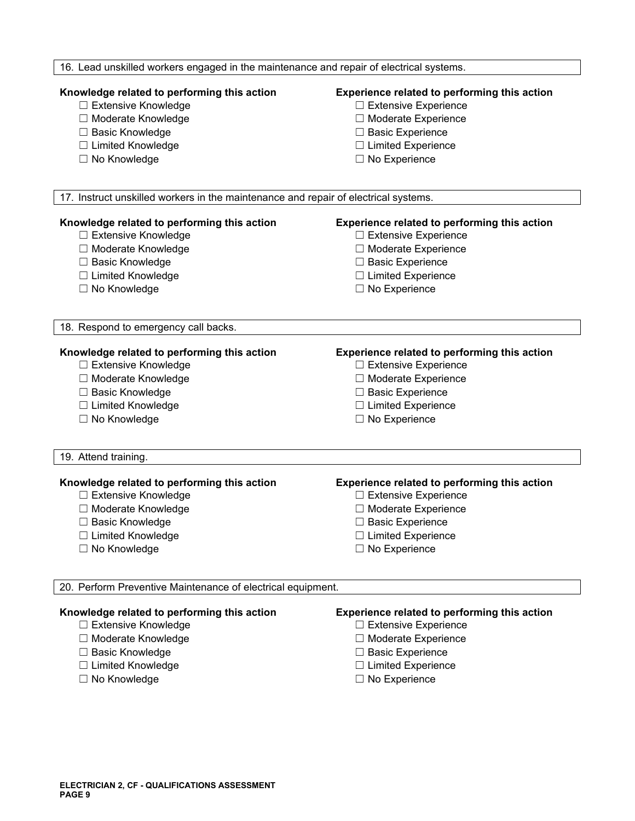### 16. Lead unskilled workers engaged in the maintenance and repair of electrical systems.

- 
- 
- ☐ Basic Knowledge ☐ Basic Experience
- ☐ Limited Knowledge ☐ Limited Experience
- 

### **Knowledge related to performing this action Experience related to performing this action**

- ☐ Extensive Knowledge ☐ Extensive Experience
- ☐ Moderate Knowledge ☐ Moderate Experience
	-
	-
- ☐ No Knowledge ☐ No Experience

17. Instruct unskilled workers in the maintenance and repair of electrical systems.

### **Knowledge related to performing this action Experience related to performing this action**

- 
- 
- 
- ☐ Limited Knowledge ☐ Limited Experience
- 

- ☐ Extensive Knowledge ☐ Extensive Experience
- ☐ Moderate Knowledge ☐ Moderate Experience
- ☐ Basic Knowledge ☐ Basic Experience
	-
- ☐ No Knowledge ☐ No Experience

### 18. Respond to emergency call backs.

### **Knowledge related to performing this action Experience related to performing this action**

- ☐ Extensive Knowledge ☐ Extensive Experience
- ☐ Moderate Knowledge ☐ Moderate Experience
- 
- 
- ☐ No Knowledge ☐ No Experience

- 
- 
- ☐ Basic Knowledge ☐ Basic Experience
- ☐ Limited Knowledge ☐ Limited Experience
	-

### 19. Attend training.

### **Knowledge related to performing this action Experience related to performing this action**

- 
- ☐ Moderate Knowledge ☐ Moderate Experience
- ☐ Basic Knowledge ☐ Basic Experience
- ☐ Limited Knowledge ☐ Limited Experience
- ☐ No Knowledge ☐ No Experience

- ☐ Extensive Knowledge ☐ Extensive Experience
	-
	-
	-
	-

### 20. Perform Preventive Maintenance of electrical equipment.

### **Knowledge related to performing this action Experience related to performing this action**

- ☐ Extensive Knowledge ☐ Extensive Experience
- ☐ Moderate Knowledge ☐ Moderate Experience
- ☐ Basic Knowledge ☐ Basic Experience
- ☐ Limited Knowledge ☐ Limited Experience
- ☐ No Knowledge ☐ No Experience

- 
- 
- 
- 
-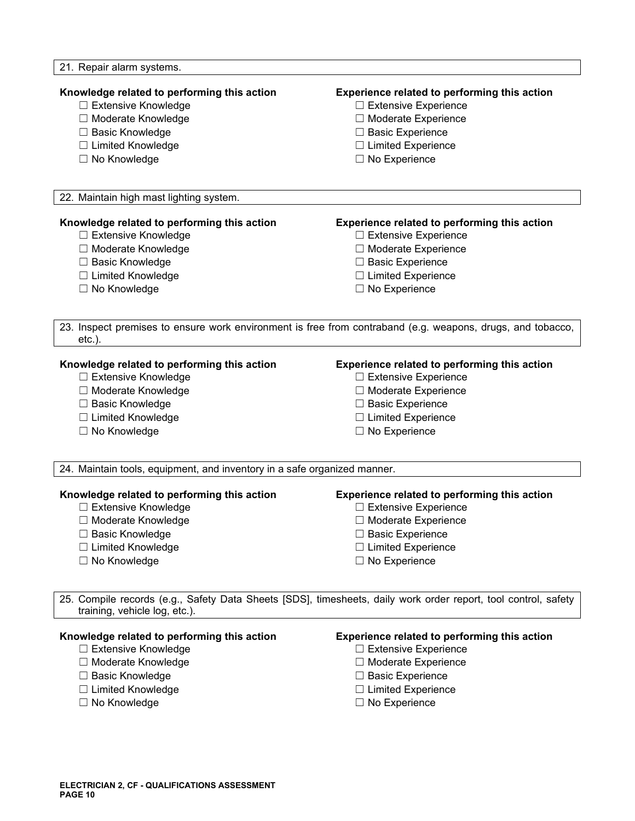## **Knowledge related to performing this action Experience related to performing this action**  ☐ Extensive Knowledge ☐ Extensive Experience ☐ Moderate Knowledge ☐ Moderate Experience ☐ Basic Knowledge ☐ Basic Experience ☐ Limited Knowledge ☐ Limited Experience ☐ No Knowledge ☐ No Experience 22. Maintain high mast lighting system. **Knowledge related to performing this action Experience related to performing this action**  ☐ Extensive Knowledge ☐ Extensive Experience ☐ Moderate Knowledge ☐ Moderate Experience ☐ Basic Knowledge ☐ Basic Experience ☐ Limited Knowledge ☐ Limited Experience ☐ No Knowledge ☐ No Experience 23. Inspect premises to ensure work environment is free from contraband (e.g. weapons, drugs, and tobacco, etc.). **Knowledge related to performing this action Experience related to performing this action**  ☐ Extensive Knowledge ☐ Extensive Experience ☐ Moderate Knowledge ☐ Moderate Experience ☐ Basic Knowledge ☐ Basic Experience ☐ Limited Knowledge ☐ Limited Experience ☐ No Knowledge ☐ No Experience 24. Maintain tools, equipment, and inventory in a safe organized manner. **Knowledge related to performing this action Experience related to performing this action**  ☐ Extensive Knowledge ☐ Extensive Experience ☐ Moderate Knowledge ☐ Moderate Experience ☐ Basic Knowledge ☐ Basic Experience ☐ Limited Knowledge ☐ Limited Experience ☐ No Knowledge ☐ No Experience 25. Compile records (e.g., Safety Data Sheets [SDS], timesheets, daily work order report, tool control, safety training, vehicle log, etc.). **Knowledge related to performing this action Experience related to performing this action**  ☐ Extensive Knowledge ☐ Extensive Experience ☐ Moderate Knowledge ☐ Moderate Experience ☐ Basic Knowledge ☐ Basic Experience ☐ Limited Knowledge ☐ Limited Experience

- 
- ☐ No Knowledge ☐ No Experience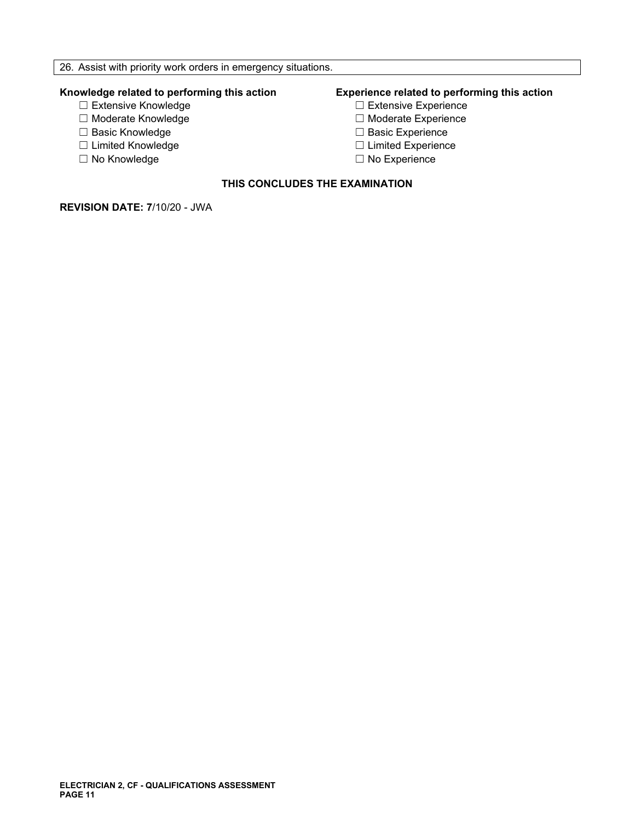- 
- 
- ☐ Basic Knowledge ☐ Basic Experience
- 
- 

# **Knowledge related to performing this action Experience related to performing this action**

- □ Extensive Experience
- ☐ Moderate Knowledge ☐ Moderate Experience
	-
- ☐ Limited Knowledge ☐ Limited Experience
- ☐ No Knowledge ☐ No Experience

### **THIS CONCLUDES THE EXAMINATION**

**REVISION DATE: 7**/10/20 - JWA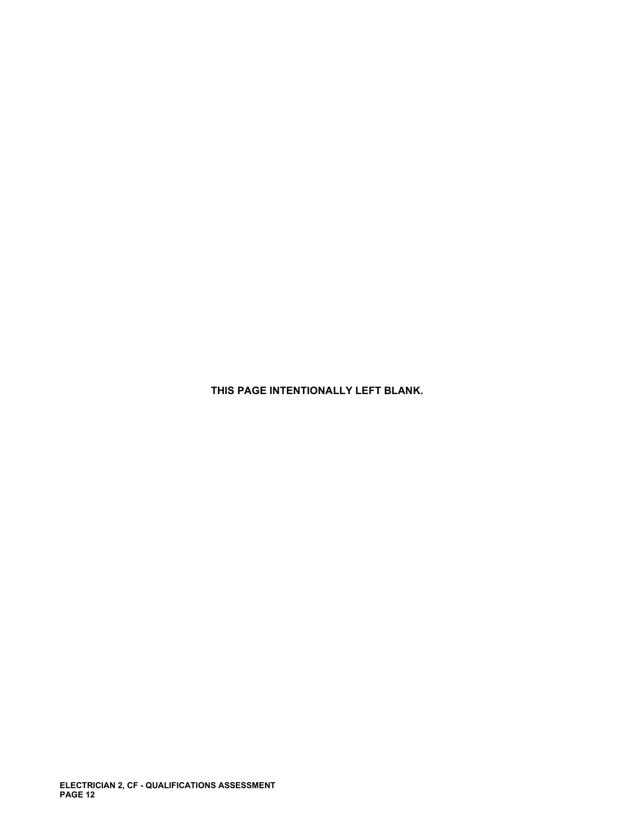**THIS PAGE INTENTIONALLY LEFT BLANK.**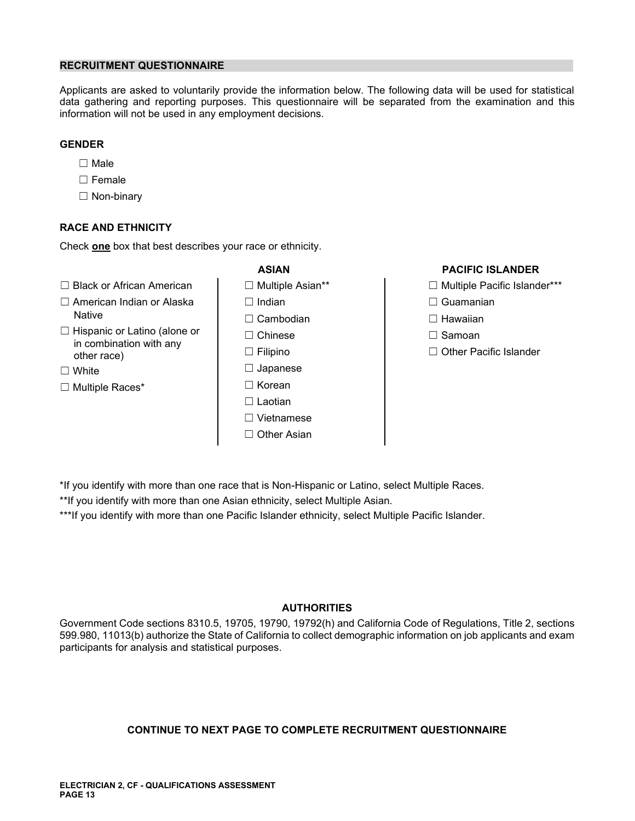### **RECRUITMENT QUESTIONNAIRE**

Applicants are asked to voluntarily provide the information below. The following data will be used for statistical data gathering and reporting purposes. This questionnaire will be separated from the examination and this information will not be used in any employment decisions.

### **GENDER**

- ☐ Male
- ☐ Female
- ☐ Non-binary

### **RACE AND ETHNICITY**

Check **one** box that best describes your race or ethnicity.

- ☐ Black or African American ☐ Multiple Asian\*\* ☐ Multiple Pacific Islander\*\*\*
- ☐ American Indian or Alaska ☐ Indian ☐ Guamanian
- ☐ Hispanic or Latino (alone or ☐ Chinese ☐ Samoan in combination with any other race) ☐ Filipino ☐ Other Pacific Islander
- 
- ☐ Multiple Races\* ☐ Korean
- Native ☐ Cambodian ☐ Hawaiian ☐ White ☐ Japanese ☐ Laotian ☐ Vietnamese
	- ☐ Other Asian

### **ASIAN PACIFIC ISLANDER**

- 
- 
- 
- 
- 

\*If you identify with more than one race that is Non-Hispanic or Latino, select Multiple Races.

\*\*If you identify with more than one Asian ethnicity, select Multiple Asian.

\*\*\*If you identify with more than one Pacific Islander ethnicity, select Multiple Pacific Islander.

### **AUTHORITIES**

Government Code sections 8310.5, 19705, 19790, 19792(h) and California Code of Regulations, Title 2, sections 599.980, 11013(b) authorize the State of California to collect demographic information on job applicants and exam participants for analysis and statistical purposes.

### **CONTINUE TO NEXT PAGE TO COMPLETE RECRUITMENT QUESTIONNAIRE**